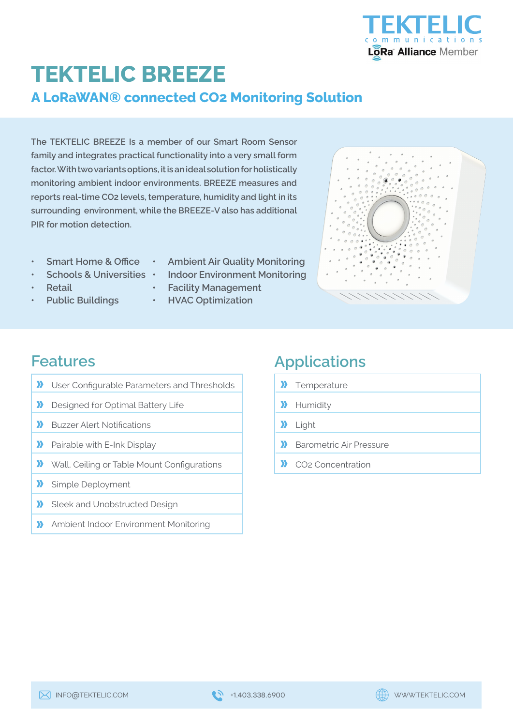

## **TEKTELIC BREEZE A LoRaWAN® connected CO2 Monitoring Solution**

**The TEKTELIC BREEZE Is a member of our Smart Room Sensor family and integrates practical functionality into a very small form factor. With two variants options, it is an ideal solution for holistically monitoring ambient indoor environments. BREEZE measures and reports real-time CO2 levels, temperature, humidity and light in its surrounding environment, while the BREEZE-V also has additional PIR for motion detection.**

- **• Smart Home & Office**
- **• Schools & Universities**
- **• Retail**
- **• Public Buildings**
- **• Ambient Air Quality Monitoring**
- **• Indoor Environment Monitoring**
- **• Facility Management**
- **• HVAC Optimization**



### **Features**

- $\mathbf{v}$ User Configurable Parameters and Thresholds
- $\boldsymbol{\Sigma}$ Designed for Optimal Battery Life
- $\mathbf{v}$ Buzzer Alert Notifications
- $\boldsymbol{\Sigma}$ Pairable with E-Ink Display
- $\boldsymbol{\Sigma}$ Wall, Ceiling or Table Mount Configurations
- $\sum$ Simple Deployment
- Sleek and Unobstructed Design  $\boldsymbol{\Sigma}$
- Ambient Indoor Environment Monitoring  $\mathbf{v}$

## **Applications**

- **>>** Temperature
- **X** Humidity
- >> Light
- $\mathbf{v}$ Barometric Air Pressure
- $\mathbf{v}$ CO2 Concentration